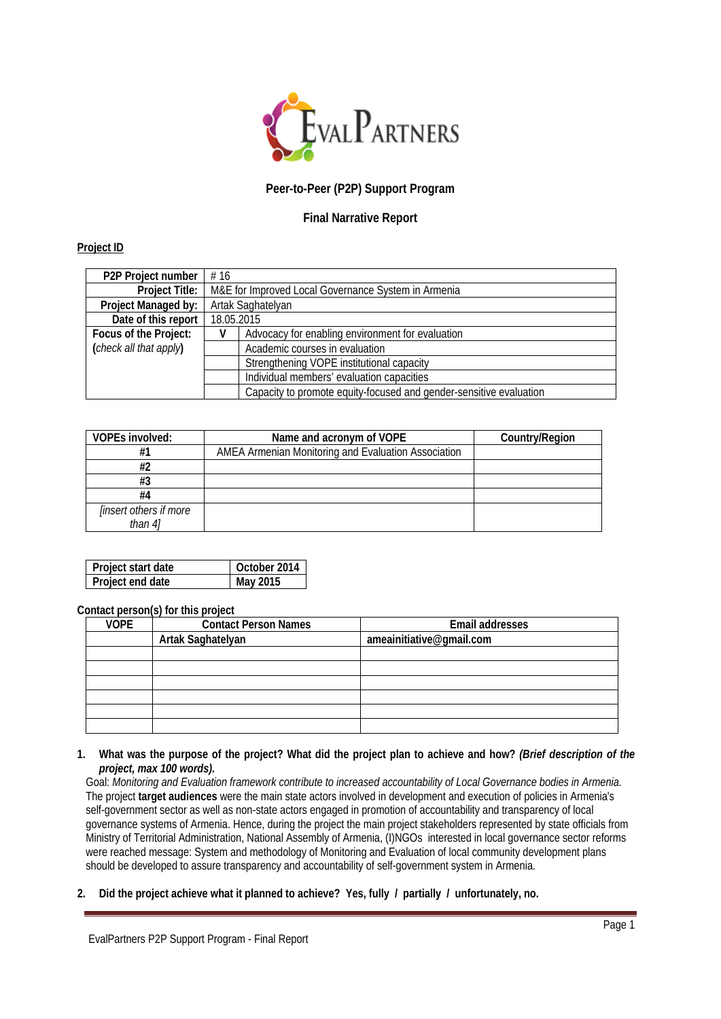

# **Peer-to-Peer (P2P) Support Program**

# **Final Narrative Report**

#### **Project ID**

| P <sub>2</sub> P Project number | #16                                                 |                                                                    |  |
|---------------------------------|-----------------------------------------------------|--------------------------------------------------------------------|--|
| Project Title:                  | M&E for Improved Local Governance System in Armenia |                                                                    |  |
| Project Managed by:             | Artak Saghatelyan                                   |                                                                    |  |
| Date of this report             | 18.05.2015                                          |                                                                    |  |
| Focus of the Project:           |                                                     | Advocacy for enabling environment for evaluation                   |  |
| (check all that apply)          | Academic courses in evaluation                      |                                                                    |  |
|                                 |                                                     | Strengthening VOPE institutional capacity                          |  |
|                                 |                                                     | Individual members' evaluation capacities                          |  |
|                                 |                                                     | Capacity to promote equity-focused and gender-sensitive evaluation |  |

| <b>VOPEs involved:</b>        | Name and acronym of VOPE                            | Country/Region |
|-------------------------------|-----------------------------------------------------|----------------|
| #1                            | AMEA Armenian Monitoring and Evaluation Association |                |
| #2                            |                                                     |                |
| #3                            |                                                     |                |
| #4                            |                                                     |                |
| <i>linsert others if more</i> |                                                     |                |
| than 41                       |                                                     |                |

| Project start date | October 2014 |
|--------------------|--------------|
| Project end date   | May 2015     |

#### **Contact person(s) for this project**

| <b>VOPE</b> | <b>Contact Person Names</b> | Email addresses          |
|-------------|-----------------------------|--------------------------|
|             | Artak Saghatelyan           | ameainitiative@gmail.com |
|             |                             |                          |
|             |                             |                          |
|             |                             |                          |
|             |                             |                          |
|             |                             |                          |
|             |                             |                          |

**1. What was the purpose of the project? What did the project plan to achieve and how?** *(Brief description of the project, max 100 words).*

Goal: *Monitoring and Evaluation framework contribute to increased accountability of Local Governance bodies in Armenia.* The project **target audiences** were the main state actors involved in development and execution of policies in Armenia's self-government sector as well as non-state actors engaged in promotion of accountability and transparency of local governance systems of Armenia. Hence, during the project the main project stakeholders represented by state officials from Ministry of Territorial Administration, National Assembly of Armenia, (I)NGOs interested in local governance sector reforms were reached message: System and methodology of Monitoring and Evaluation of local community development plans should be developed to assure transparency and accountability of self-government system in Armenia.

**2. Did the project achieve what it planned to achieve? Yes, fully / partially / unfortunately, no.**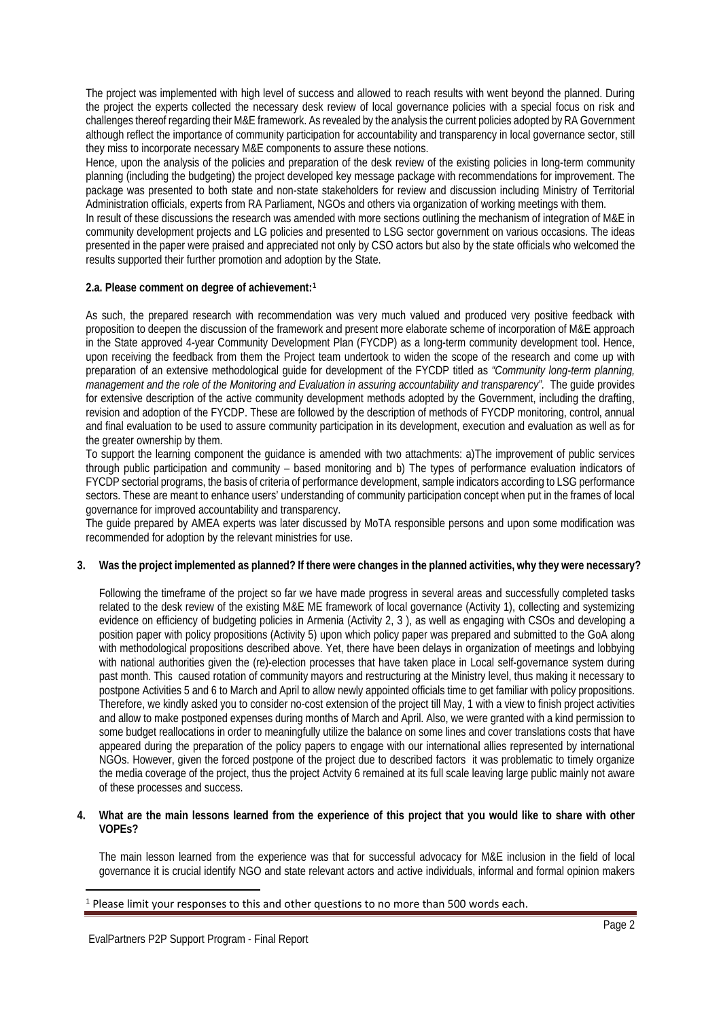The project was implemented with high level of success and allowed to reach results with went beyond the planned. During the project the experts collected the necessary desk review of local governance policies with a special focus on risk and challenges thereof regarding their M&E framework. As revealed by the analysis the current policies adopted by RA Government although reflect the importance of community participation for accountability and transparency in local governance sector, still they miss to incorporate necessary M&E components to assure these notions.

Hence, upon the analysis of the policies and preparation of the desk review of the existing policies in long-term community planning (including the budgeting) the project developed key message package with recommendations for improvement. The package was presented to both state and non-state stakeholders for review and discussion including Ministry of Territorial Administration officials, experts from RA Parliament, NGOs and others via organization of working meetings with them.

In result of these discussions the research was amended with more sections outlining the mechanism of integration of M&E in community development projects and LG policies and presented to LSG sector government on various occasions. The ideas presented in the paper were praised and appreciated not only by CSO actors but also by the state officials who welcomed the results supported their further promotion and adoption by the State.

### **2.a. Please comment on degree of achievement:[1](#page-1-0)**

As such, the prepared research with recommendation was very much valued and produced very positive feedback with proposition to deepen the discussion of the framework and present more elaborate scheme of incorporation of M&E approach in the State approved 4-year Community Development Plan (FYCDP) as a long-term community development tool. Hence, upon receiving the feedback from them the Project team undertook to widen the scope of the research and come up with preparation of an extensive methodological guide for development of the FYCDP titled as *"Community long-term planning, management and the role of the Monitoring and Evaluation in assuring accountability and transparency".* The guide provides for extensive description of the active community development methods adopted by the Government, including the drafting, revision and adoption of the FYCDP. These are followed by the description of methods of FYCDP monitoring, control, annual and final evaluation to be used to assure community participation in its development, execution and evaluation as well as for the greater ownership by them.

To support the learning component the guidance is amended with two attachments: a)The improvement of public services through public participation and community – based monitoring and b) The types of performance evaluation indicators of FYCDP sectorial programs, the basis of criteria of performance development, sample indicators according to LSG performance sectors. These are meant to enhance users' understanding of community participation concept when put in the frames of local governance for improved accountability and transparency.

The guide prepared by AMEA experts was later discussed by MoTA responsible persons and upon some modification was recommended for adoption by the relevant ministries for use.

### **3. Was the project implemented as planned? If there were changes in the planned activities, why they were necessary?**

Following the timeframe of the project so far we have made progress in several areas and successfully completed tasks related to the desk review of the existing M&E ME framework of local governance (Activity 1), collecting and systemizing evidence on efficiency of budgeting policies in Armenia (Activity 2, 3 ), as well as engaging with CSOs and developing a position paper with policy propositions (Activity 5) upon which policy paper was prepared and submitted to the GoA along with methodological propositions described above. Yet, there have been delays in organization of meetings and lobbying with national authorities given the (re)-election processes that have taken place in Local self-governance system during past month. This caused rotation of community mayors and restructuring at the Ministry level, thus making it necessary to postpone Activities 5 and 6 to March and April to allow newly appointed officials time to get familiar with policy propositions. Therefore, we kindly asked you to consider no-cost extension of the project till May, 1 with a view to finish project activities and allow to make postponed expenses during months of March and April. Also, we were granted with a kind permission to some budget reallocations in order to meaningfully utilize the balance on some lines and cover translations costs that have appeared during the preparation of the policy papers to engage with our international allies represented by international NGOs. However, given the forced postpone of the project due to described factors it was problematic to timely organize the media coverage of the project, thus the project Actvity 6 remained at its full scale leaving large public mainly not aware of these processes and success.

#### **4. What are the main lessons learned from the experience of this project that you would like to share with other VOPEs?**

The main lesson learned from the experience was that for successful advocacy for M&E inclusion in the field of local governance it is crucial identify NGO and state relevant actors and active individuals, informal and formal opinion makers

 $\overline{\phantom{a}}$ 

<span id="page-1-0"></span><sup>1</sup> Please limit your responses to this and other questions to no more than 500 words each.